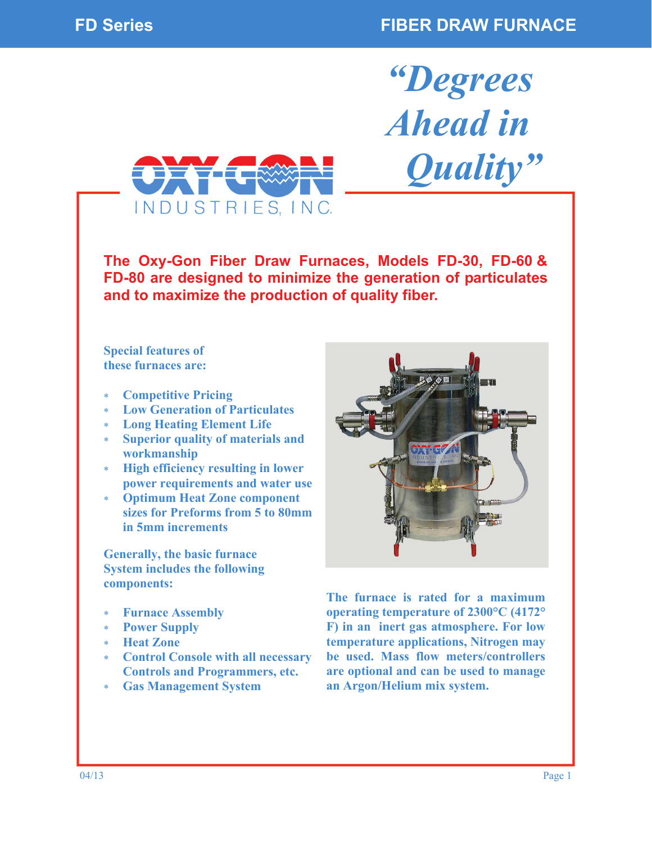*"Degrees* 

*Ahead in* 

 *Quality"* 



**The Oxy-Gon Fiber Draw Furnaces, Models FD-30, FD-60 & FD-80 are designed to minimize the generation of particulates and to maximize the production of quality fiber.** 

**Special features of these furnaces are:** 

- **Competitive Pricing**
- **Low Generation of Particulates**
- **Long Heating Element Life**
- **Superior quality of materials and workmanship**
- **High efficiency resulting in lower power requirements and water use**
- **Optimum Heat Zone component sizes for Preforms from 5 to 80mm in 5mm increments**

**Generally, the basic furnace System includes the following components:** 

- **Furnace Assembly**
- **Power Supply**
- **Heat Zone**
- **Control Console with all necessary Controls and Programmers, etc.**
- **Gas Management System**



**The furnace is rated for a maximum operating temperature of 2300°C (4172° F) in an inert gas atmosphere. For low temperature applications, Nitrogen may be used. Mass flow meters/controllers are optional and can be used to manage an Argon/Helium mix system.**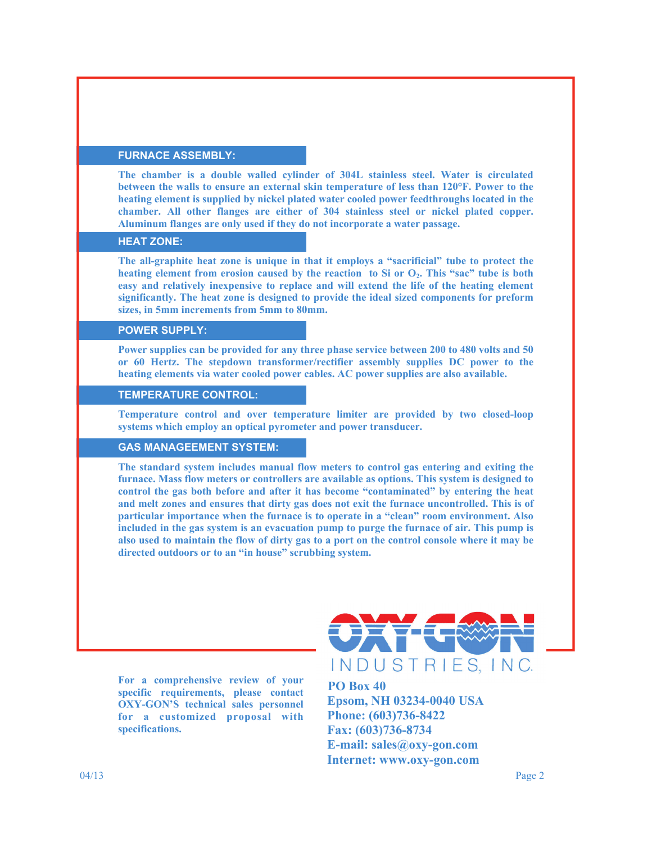#### **FURNACE ASSEMBLY:**

**The chamber is a double walled cylinder of 304L stainless steel. Water is circulated between the walls to ensure an external skin temperature of less than 120°F. Power to the heating element is supplied by nickel plated water cooled power feedthroughs located in the chamber. All other flanges are either of 304 stainless steel or nickel plated copper. Aluminum flanges are only used if they do not incorporate a water passage.** 

### **HEAT ZONE:**

**The all-graphite heat zone is unique in that it employs a "sacrificial" tube to protect the**  heating element from erosion caused by the reaction to Si or O<sub>2</sub>. This "sac" tube is both **easy and relatively inexpensive to replace and will extend the life of the heating element significantly. The heat zone is designed to provide the ideal sized components for preform sizes, in 5mm increments from 5mm to 80mm.** 

# **POWER SUPPLY:**

**Power supplies can be provided for any three phase service between 200 to 480 volts and 50 or 60 Hertz. The stepdown transformer/rectifier assembly supplies DC power to the heating elements via water cooled power cables. AC power supplies are also available.** 

## **TEMPERATURE CONTROL:**

**Temperature control and over temperature limiter are provided by two closed-loop systems which employ an optical pyrometer and power transducer.** 

## **GAS MANAGEEMENT SYSTEM:**

**The standard system includes manual flow meters to control gas entering and exiting the furnace. Mass flow meters or controllers are available as options. This system is designed to control the gas both before and after it has become "contaminated" by entering the heat and melt zones and ensures that dirty gas does not exit the furnace uncontrolled. This is of particular importance when the furnace is to operate in a "clean" room environment. Also included in the gas system is an evacuation pump to purge the furnace of air. This pump is also used to maintain the flow of dirty gas to a port on the control console where it may be directed outdoors or to an "in house" scrubbing system.** 

**For a comprehensive review of your specific requirements, please contact OXY-GON'S technical sales personnel for a customized proposal with specifications.** 



 **PO Box 40 Epsom, NH 03234-0040 USA Phone: (603)736-8422 Fax: (603)736-8734 E-mail: sales@oxy-gon.com Internet: www.oxy-gon.com**